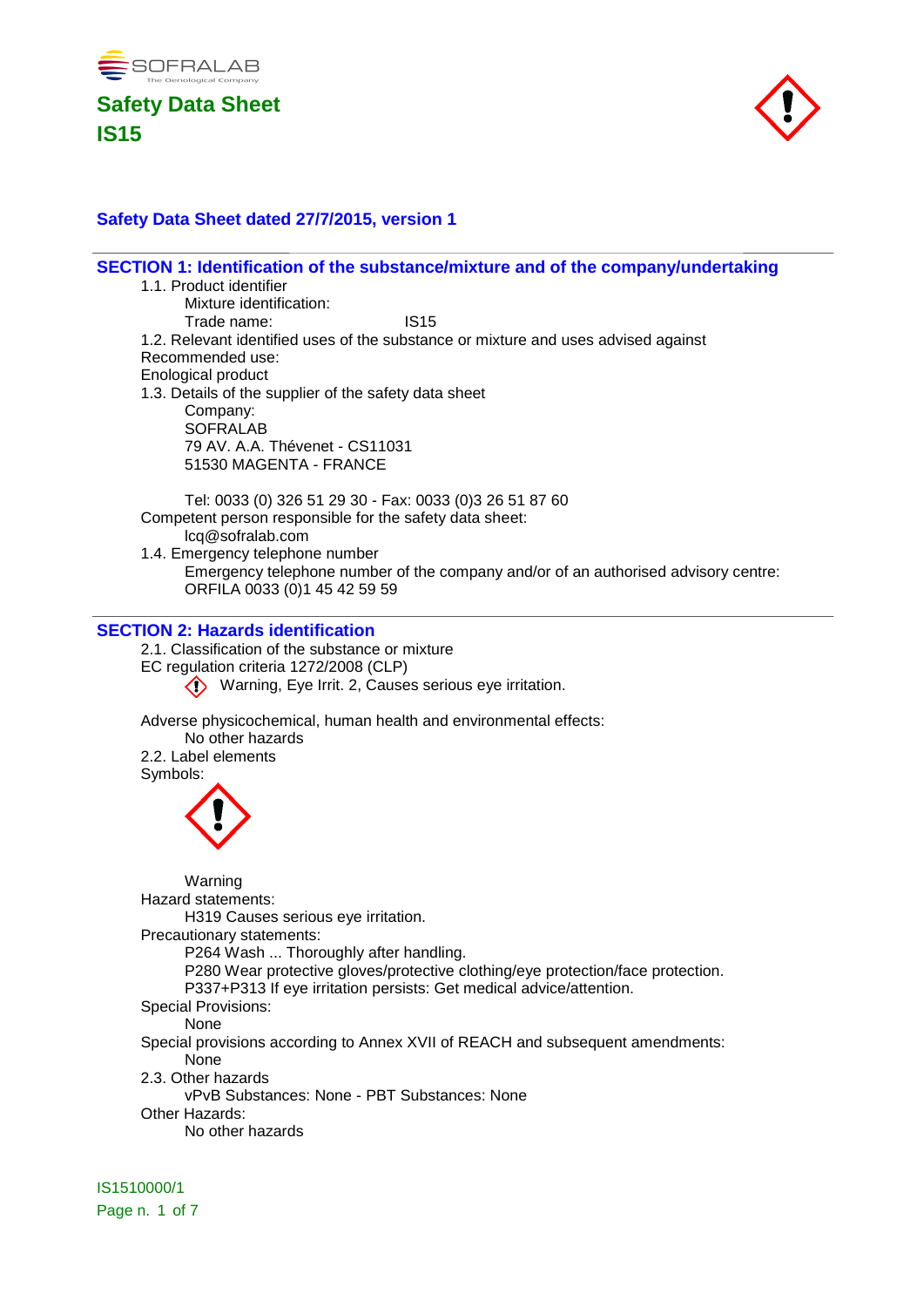



### **Safety Data Sheet dated 27/7/2015, version 1**

**SECTION 1: Identification of the substance/mixture and of the company/undertaking** 1.1. Product identifier Mixture identification: Trade name: IS15 1.2. Relevant identified uses of the substance or mixture and uses advised against Recommended use: Enological product 1.3. Details of the supplier of the safety data sheet Company: **SOFRALAB** 79 AV. A.A. Thévenet - CS11031 51530 MAGENTA - FRANCE Tel: 0033 (0) 326 51 29 30 - Fax: 0033 (0)3 26 51 87 60 Competent person responsible for the safety data sheet: lcq@sofralab.com 1.4. Emergency telephone number Emergency telephone number of the company and/or of an authorised advisory centre: ORFILA 0033 (0)1 45 42 59 59 **SECTION 2: Hazards identification**

2.1. Classification of the substance or mixture

EC regulation criteria 1272/2008 (CLP)

Warning, Eye Irrit. 2, Causes serious eye irritation.

Adverse physicochemical, human health and environmental effects:

No other hazards

2.2. Label elements

Symbols:



Warning Hazard statements: H319 Causes serious eye irritation. Precautionary statements: P264 Wash ... Thoroughly after handling. P280 Wear protective gloves/protective clothing/eye protection/face protection. P337+P313 If eye irritation persists: Get medical advice/attention. Special Provisions: None Special provisions according to Annex XVII of REACH and subsequent amendments: None 2.3. Other hazards vPvB Substances: None - PBT Substances: None Other Hazards:

No other hazards

IS1510000/1 Page n. 1 of 7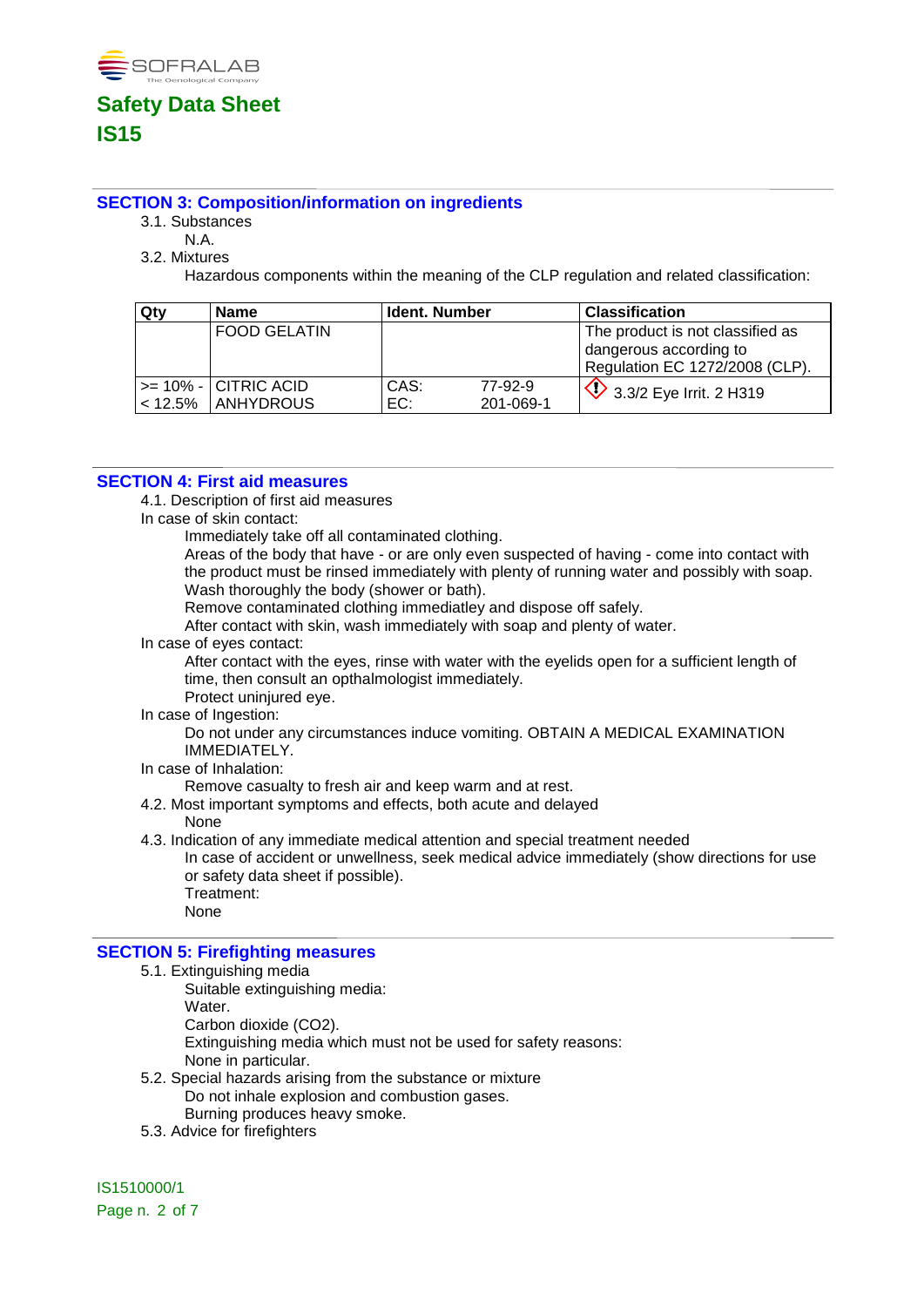

### **SECTION 3: Composition/information on ingredients**

- 3.1. Substances
- N.A.
- 3.2. Mixtures

Hazardous components within the meaning of the CLP regulation and related classification:

| Qty | <b>Name</b>               | <b>Ident. Number</b> |           | <b>Classification</b>            |
|-----|---------------------------|----------------------|-----------|----------------------------------|
|     | l FOOD GELATIN            |                      |           | The product is not classified as |
|     |                           |                      |           | dangerous according to           |
|     |                           |                      |           | Regulation EC 1272/2008 (CLP).   |
|     | $>= 10\% -  CITRIC ACID $ | CAS:                 | 77-92-9   | $\vee$ 3.3/2 Eye Irrit. 2 H319   |
|     | <12.5%   ANHYDROUS        | EC:                  | 201-069-1 |                                  |

### **SECTION 4: First aid measures**

4.1. Description of first aid measures

In case of skin contact:

Immediately take off all contaminated clothing.

Areas of the body that have - or are only even suspected of having - come into contact with the product must be rinsed immediately with plenty of running water and possibly with soap. Wash thoroughly the body (shower or bath).

Remove contaminated clothing immediatley and dispose off safely.

After contact with skin, wash immediately with soap and plenty of water.

In case of eyes contact:

After contact with the eyes, rinse with water with the eyelids open for a sufficient length of time, then consult an opthalmologist immediately.

- Protect uninjured eye.
- In case of Ingestion:

Do not under any circumstances induce vomiting. OBTAIN A MEDICAL EXAMINATION IMMEDIATELY.

In case of Inhalation:

Remove casualty to fresh air and keep warm and at rest.

4.2. Most important symptoms and effects, both acute and delayed

None

4.3. Indication of any immediate medical attention and special treatment needed

In case of accident or unwellness, seek medical advice immediately (show directions for use or safety data sheet if possible). Treatment:

None

### **SECTION 5: Firefighting measures**

- 5.1. Extinguishing media
	- Suitable extinguishing media:
		- Water.

Carbon dioxide (CO2).

Extinguishing media which must not be used for safety reasons:

None in particular.

- 5.2. Special hazards arising from the substance or mixture Do not inhale explosion and combustion gases.
	- Burning produces heavy smoke.
- 5.3. Advice for firefighters

IS1510000/1 Page n. 2 of 7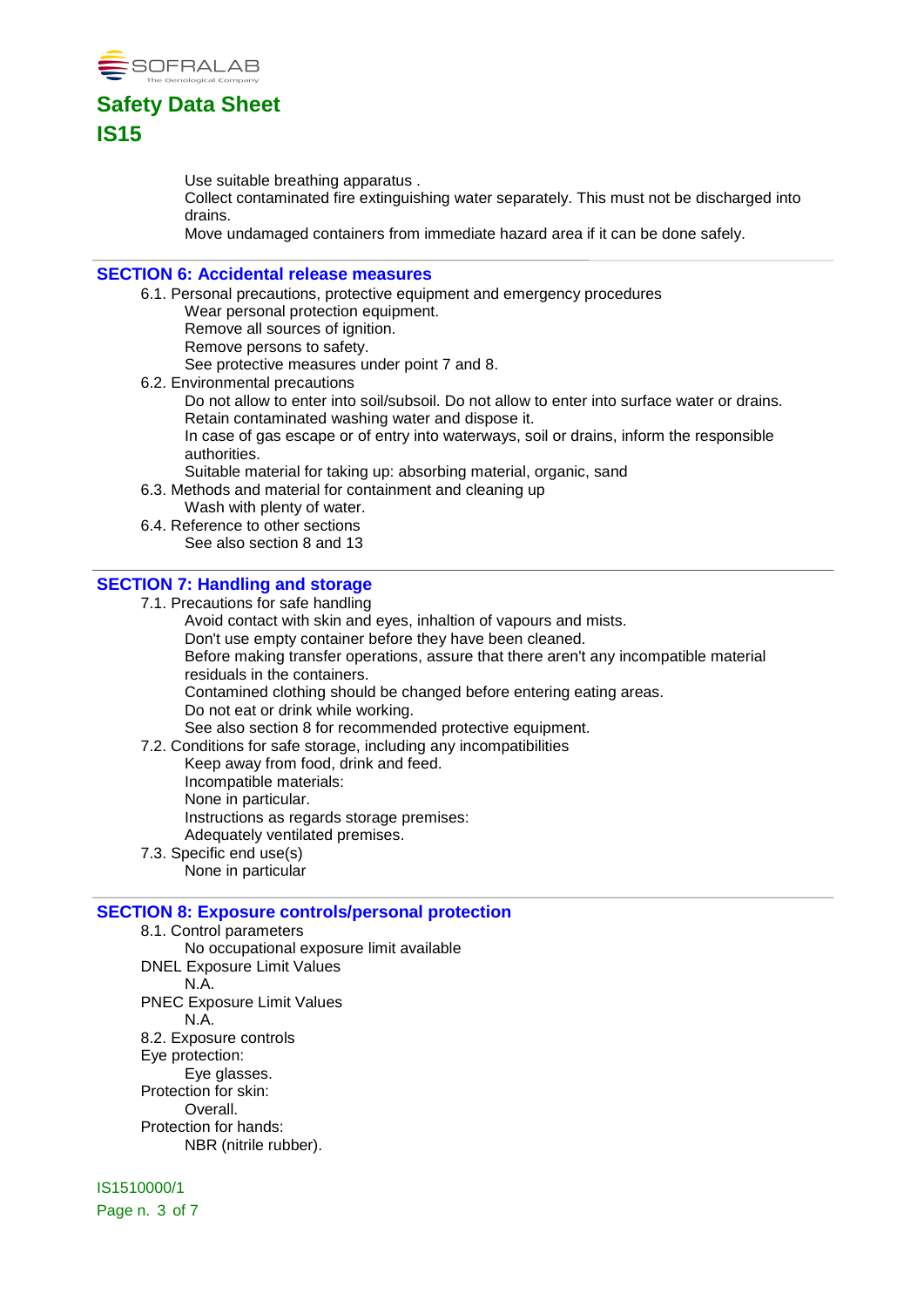

Use suitable breathing apparatus .

Collect contaminated fire extinguishing water separately. This must not be discharged into drains.

Move undamaged containers from immediate hazard area if it can be done safely.

#### **SECTION 6: Accidental release measures**

- 6.1. Personal precautions, protective equipment and emergency procedures Wear personal protection equipment.
	- Remove all sources of ignition.
	- Remove persons to safety.

See protective measures under point 7 and 8.

- 6.2. Environmental precautions
	- Do not allow to enter into soil/subsoil. Do not allow to enter into surface water or drains. Retain contaminated washing water and dispose it.

In case of gas escape or of entry into waterways, soil or drains, inform the responsible authorities.

Suitable material for taking up: absorbing material, organic, sand

- 6.3. Methods and material for containment and cleaning up
- Wash with plenty of water. 6.4. Reference to other sections
- See also section 8 and 13

#### **SECTION 7: Handling and storage**

7.1. Precautions for safe handling

Avoid contact with skin and eyes, inhaltion of vapours and mists.

Don't use empty container before they have been cleaned.

Before making transfer operations, assure that there aren't any incompatible material residuals in the containers.

Contamined clothing should be changed before entering eating areas.

Do not eat or drink while working.

See also section 8 for recommended protective equipment.

- 7.2. Conditions for safe storage, including any incompatibilities Keep away from food, drink and feed. Incompatible materials: None in particular. Instructions as regards storage premises: Adequately ventilated premises.
- 7.3. Specific end use(s) None in particular

### **SECTION 8: Exposure controls/personal protection**

8.1. Control parameters No occupational exposure limit available DNEL Exposure Limit Values N.A. PNEC Exposure Limit Values N.A. 8.2. Exposure controls Eye protection: Eye glasses. Protection for skin: Overall. Protection for hands: NBR (nitrile rubber).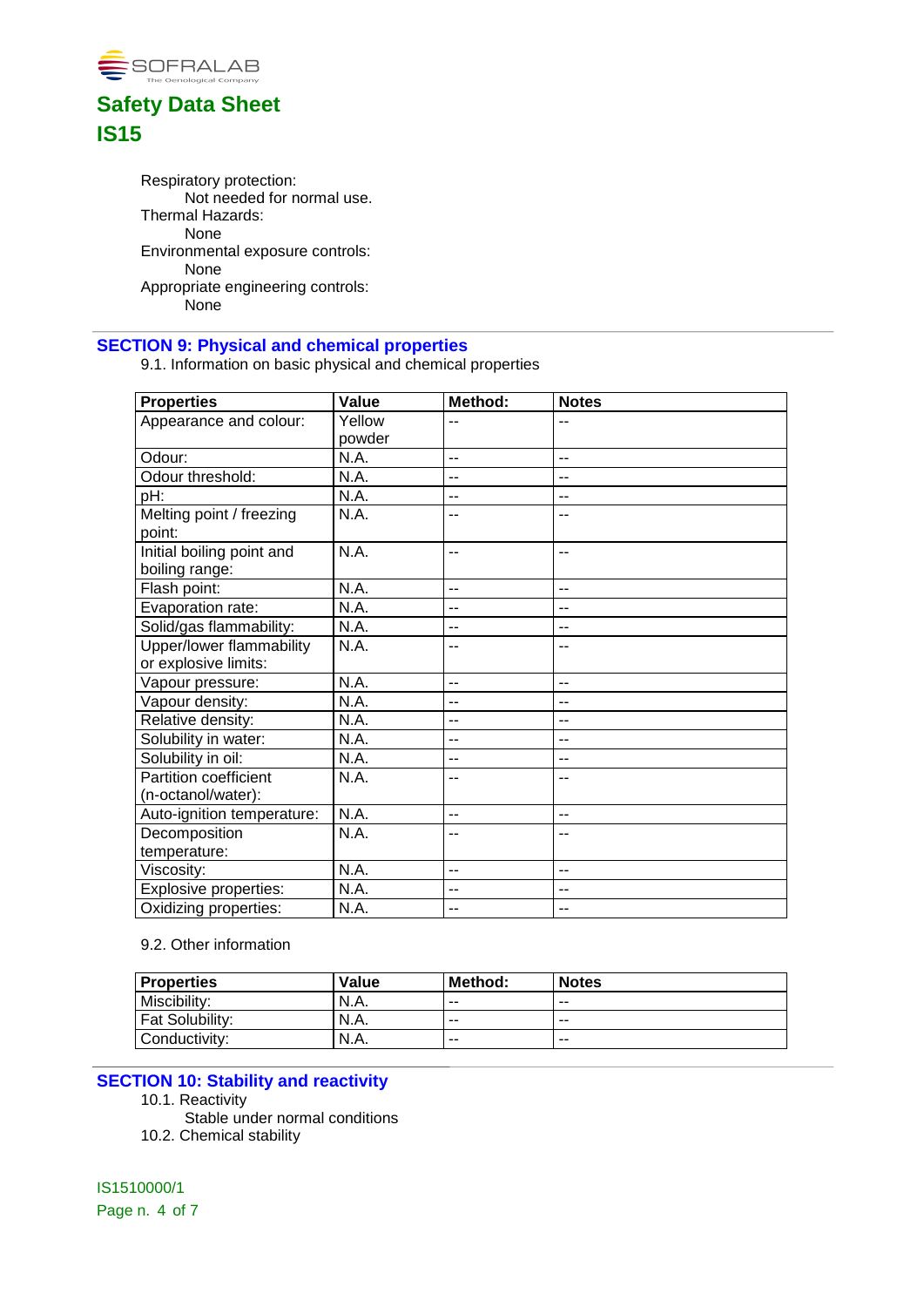

Respiratory protection: Not needed for normal use. Thermal Hazards: None Environmental exposure controls: None Appropriate engineering controls: None

### **SECTION 9: Physical and chemical properties**

9.1. Information on basic physical and chemical properties

| <b>Properties</b>            | Value  | Method:        | <b>Notes</b> |
|------------------------------|--------|----------------|--------------|
| Appearance and colour:       | Yellow | --             |              |
|                              | powder |                |              |
| Odour:                       | N.A.   | $-$            | $-$          |
| Odour threshold:             | N.A.   | --             | --           |
| pH:                          | N.A.   | $-$            | --           |
| Melting point / freezing     | N.A.   | --             |              |
| point:                       |        |                |              |
| Initial boiling point and    | N.A.   | --             | $-$          |
| boiling range:               |        |                |              |
| Flash point:                 | N.A.   | $-$            | --           |
| Evaporation rate:            | N.A.   | --             | --           |
| Solid/gas flammability:      | N.A.   | --             | --           |
| Upper/lower flammability     | N.A.   | --             | --           |
| or explosive limits:         |        |                |              |
| Vapour pressure:             | N.A.   | $\overline{a}$ | $-$          |
| Vapour density:              | N.A.   | $-$            | --           |
| Relative density:            | N.A.   | --             | --           |
| Solubility in water:         | N.A.   | $-$            | --           |
| Solubility in oil:           | N.A.   | $-$            | $-$          |
| <b>Partition coefficient</b> | N.A.   | --             |              |
| (n-octanol/water):           |        |                |              |
| Auto-ignition temperature:   | N.A.   | $-$            | --           |
| Decomposition                | N.A.   | --             | --           |
| temperature:                 |        |                |              |
| Viscosity:                   | N.A.   | --             | --           |
| <b>Explosive properties:</b> | N.A.   | --             | --           |
| Oxidizing properties:        | N.A.   | $-$            | --           |

### 9.2. Other information

| <b>Properties</b> | Value | Method: | <b>Notes</b> |
|-------------------|-------|---------|--------------|
| Miscibility:      | N.A.  | $- -$   | $- -$        |
| Fat Solubility:   | N.A.  | $- -$   | $- -$        |
| Conductivity:     | N.A.  | $- -$   | $- -$        |

### **SECTION 10: Stability and reactivity**

- 10.1. Reactivity
- Stable under normal conditions
- 10.2. Chemical stability

IS1510000/1 Page n. 4 of 7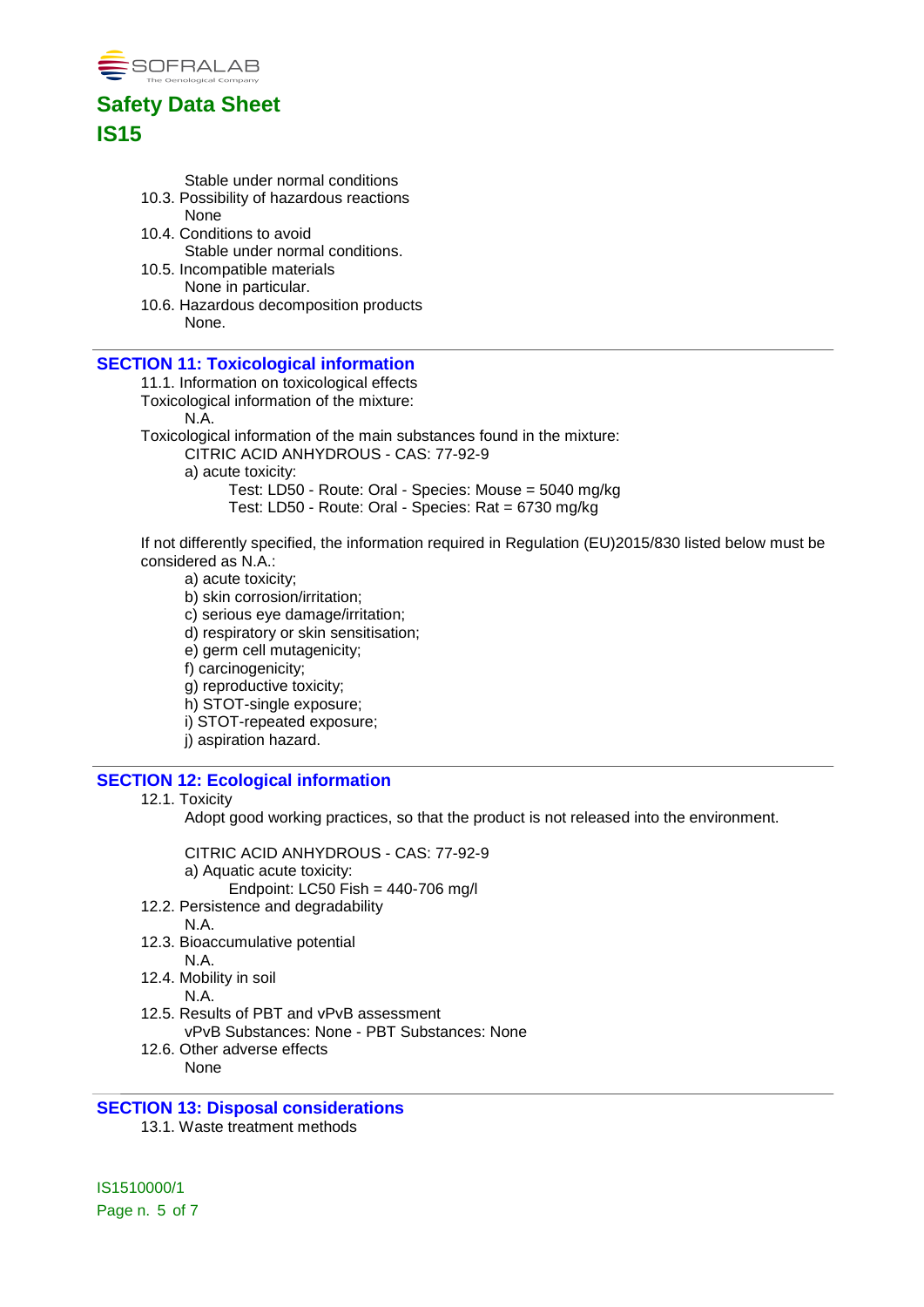

Stable under normal conditions

- 10.3. Possibility of hazardous reactions None
- 10.4. Conditions to avoid Stable under normal conditions.
- 10.5. Incompatible materials None in particular.
- 10.6. Hazardous decomposition products None.

#### **SECTION 11: Toxicological information**

11.1. Information on toxicological effects

Toxicological information of the mixture:

N.A.

Toxicological information of the main substances found in the mixture:

CITRIC ACID ANHYDROUS - CAS: 77-92-9

a) acute toxicity:

Test: LD50 - Route: Oral - Species: Mouse = 5040 mg/kg

Test: LD50 - Route: Oral - Species: Rat = 6730 mg/kg

If not differently specified, the information required in Regulation (EU)2015/830 listed below must be considered as N.A.:

a) acute toxicity;

- b) skin corrosion/irritation; c) serious eye damage/irritation;
- d) respiratory or skin sensitisation;
- e) germ cell mutagenicity;

f) carcinogenicity;

g) reproductive toxicity;

h) STOT-single exposure;

i) STOT-repeated exposure;

j) aspiration hazard.

### **SECTION 12: Ecological information**

#### 12.1. Toxicity

Adopt good working practices, so that the product is not released into the environment.

CITRIC ACID ANHYDROUS - CAS: 77-92-9 a) Aquatic acute toxicity: Endpoint: LC50 Fish = 440-706 mg/l

- 12.2. Persistence and degradability
	- N.A.
- 12.3. Bioaccumulative potential N.A.

12.4. Mobility in soil

- N.A.
- 12.5. Results of PBT and vPvB assessment vPvB Substances: None - PBT Substances: None
- 12.6. Other adverse effects None

### **SECTION 13: Disposal considerations**

13.1. Waste treatment methods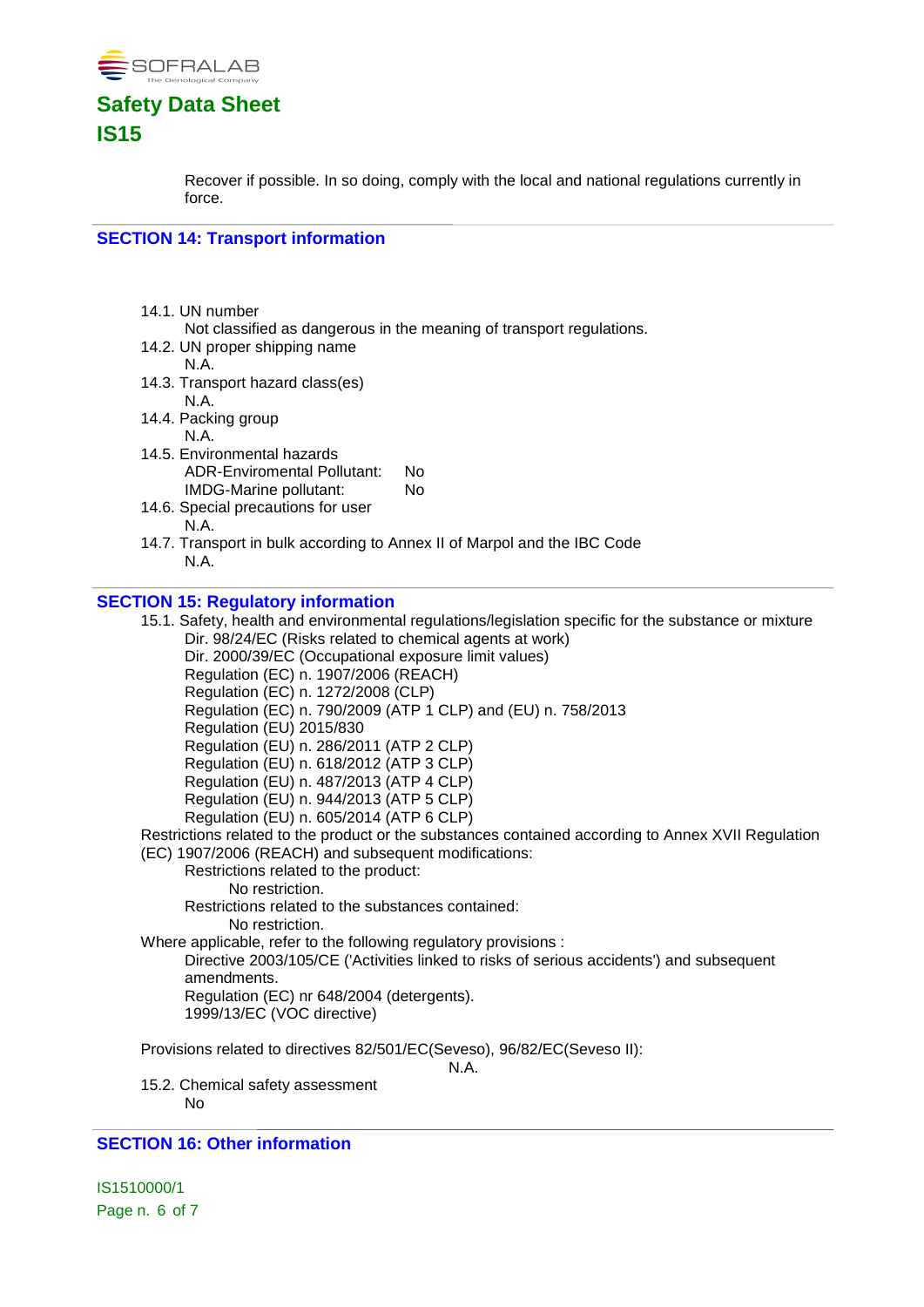

Recover if possible. In so doing, comply with the local and national regulations currently in force.

#### **SECTION 14: Transport information**

- 14.1. UN number
	- Not classified as dangerous in the meaning of transport regulations.
- 14.2. UN proper shipping name
	- N.A.
- 14.3. Transport hazard class(es)
- N.A. 14.4. Packing group
	- N.A.
- 14.5. Environmental hazards ADR-Enviromental Pollutant: No IMDG-Marine pollutant: No
- 14.6. Special precautions for user N.A.
- 14.7. Transport in bulk according to Annex II of Marpol and the IBC Code N.A.

#### **SECTION 15: Regulatory information**

15.1. Safety, health and environmental regulations/legislation specific for the substance or mixture Dir. 98/24/EC (Risks related to chemical agents at work) Dir. 2000/39/EC (Occupational exposure limit values) Regulation (EC) n. 1907/2006 (REACH) Regulation (EC) n. 1272/2008 (CLP) Regulation (EC) n. 790/2009 (ATP 1 CLP) and (EU) n. 758/2013 Regulation (EU) 2015/830 Regulation (EU) n. 286/2011 (ATP 2 CLP) Regulation (EU) n. 618/2012 (ATP 3 CLP) Regulation (EU) n. 487/2013 (ATP 4 CLP) Regulation (EU) n. 944/2013 (ATP 5 CLP) Regulation (EU) n. 605/2014 (ATP 6 CLP) Restrictions related to the product or the substances contained according to Annex XVII Regulation (EC) 1907/2006 (REACH) and subsequent modifications: Restrictions related to the product: No restriction. Restrictions related to the substances contained: No restriction. Where applicable, refer to the following regulatory provisions : Directive 2003/105/CE ('Activities linked to risks of serious accidents') and subsequent amendments. Regulation (EC) nr 648/2004 (detergents). 1999/13/EC (VOC directive) Provisions related to directives 82/501/EC(Seveso), 96/82/EC(Seveso II): N.A. 15.2. Chemical safety assessment

No

#### **SECTION 16: Other information**

IS1510000/1 Page n. 6 of 7